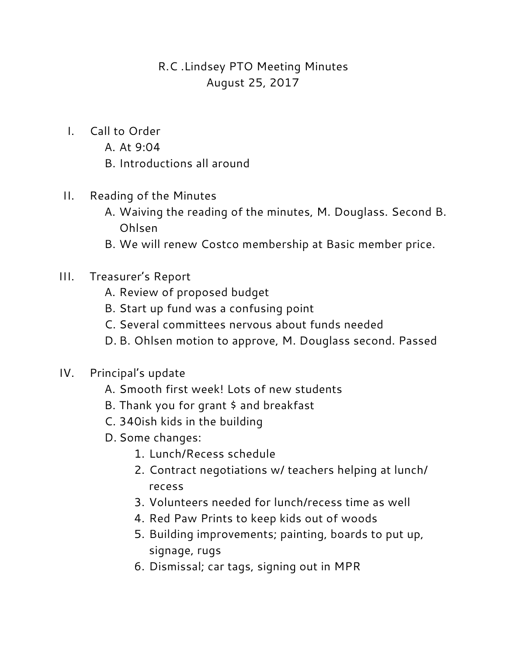# R.C .Lindsey PTO Meeting Minutes August 25, 2017

- I. Call to Order
	- A. At 9:04
	- B. Introductions all around
- II. Reading of the Minutes
	- A. Waiving the reading of the minutes, M. Douglass. Second B. Ohlsen
	- B. We will renew Costco membership at Basic member price.
- III. Treasurer's Report
	- A. Review of proposed budget
	- B. Start up fund was a confusing point
	- C. Several committees nervous about funds needed
	- D. B. Ohlsen motion to approve, M. Douglass second. Passed
- IV. Principal's update
	- A. Smooth first week! Lots of new students
	- B. Thank you for grant \$ and breakfast
	- C. 340ish kids in the building
	- D. Some changes:
		- 1. Lunch/Recess schedule
		- 2. Contract negotiations w/ teachers helping at lunch/ recess
		- 3. Volunteers needed for lunch/recess time as well
		- 4. Red Paw Prints to keep kids out of woods
		- 5. Building improvements; painting, boards to put up, signage, rugs
		- 6. Dismissal; car tags, signing out in MPR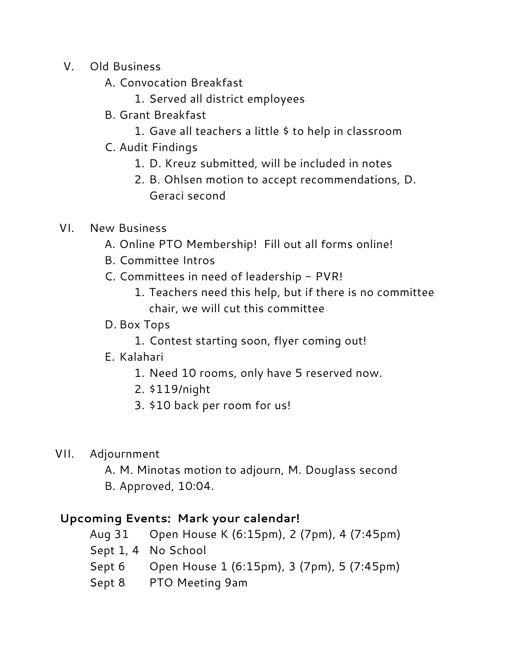- V. Old Business
	- A. Convocation Breakfast
		- 1. Served all district employees
	- B. Grant Breakfast
		- 1. Gave all teachers a little \$ to help in classroom
	- C. Audit Findings
		- 1. D. Kreuz submitted, will be included in notes
		- 2. B. Ohlsen motion to accept recommendations, D. Geraci second

## VI. New Business

- A. Online PTO Membership! Fill out all forms online!
- B. Committee Intros
- C. Committees in need of leadership PVR!
	- 1. Teachers need this help, but if there is no committee chair, we will cut this committee
- D. Box Tops
	- 1. Contest starting soon, flyer coming out!
- E. Kalahari
	- 1. Need 10 rooms, only have 5 reserved now.
	- 2. \$119/night
	- 3. \$10 back per room for us!
- VII. Adjournment
	- A. M. Minotas motion to adjourn, M. Douglass second
	- B. Approved, 10:04.

## **Upcoming Events: Mark your calendar!**

- Aug 31 Open House K (6:15pm), 2 (7pm), 4 (7:45pm)
- Sept 1, 4 No School
- Sept 6 Open House 1 (6:15pm), 3 (7pm), 5 (7:45pm)
- Sept 8 PTO Meeting 9am